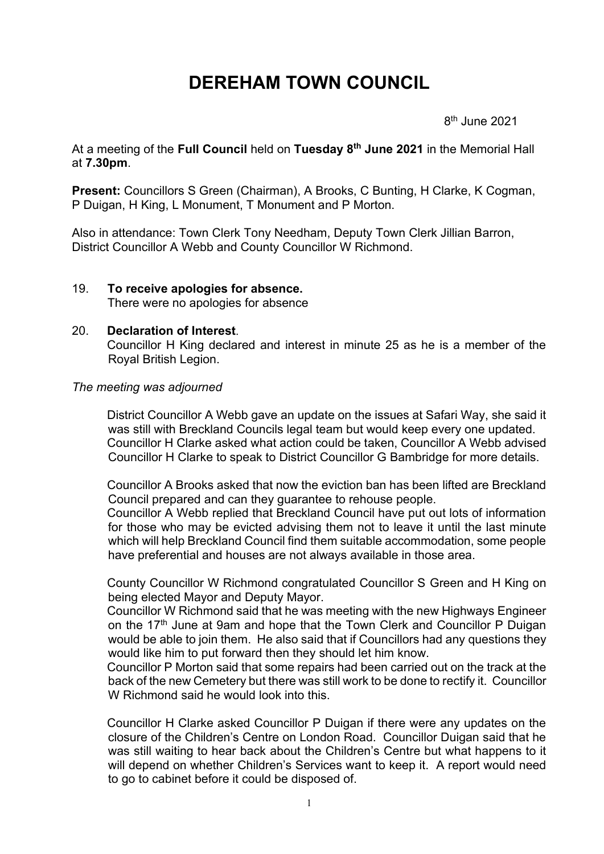# **DEREHAM TOWN COUNCIL**

en andere de la provincia de la provincia de la provincia de la provincia de la provincia de la provincia del  $8<sup>th</sup>$  June 2021

At a meeting of the **Full Council** held on **Tuesday 8 th June 2021** in the Memorial Hall at **7.30pm**.

**Present:** Councillors S Green (Chairman), A Brooks, C Bunting, H Clarke, K Cogman, P Duigan, H King, L Monument, T Monument and P Morton.

Also in attendance: Town Clerk Tony Needham, Deputy Town Clerk Jillian Barron, District Councillor A Webb and County Councillor W Richmond.

19. **To receive apologies for absence.** There were no apologies for absence

#### 20. **Declaration of Interest**.

Councillor H King declared and interest in minute 25 as he is a member of the Royal British Legion.

#### *The meeting was adjourned*

District Councillor A Webb gave an update on the issues at Safari Way, she said it was still with Breckland Councils legal team but would keep every one updated. Councillor H Clarke asked what action could be taken, Councillor A Webb advised Councillor H Clarke to speak to District Councillor G Bambridge for more details.

Councillor A Brooks asked that now the eviction ban has been lifted are Breckland Council prepared and can they guarantee to rehouse people.

Councillor A Webb replied that Breckland Council have put out lots of information for those who may be evicted advising them not to leave it until the last minute which will help Breckland Council find them suitable accommodation, some people have preferential and houses are not always available in those area.

County Councillor W Richmond congratulated Councillor S Green and H King on being elected Mayor and Deputy Mayor.

Councillor W Richmond said that he was meeting with the new Highways Engineer on the 17<sup>th</sup> June at 9am and hope that the Town Clerk and Councillor P Duigan would be able to join them. He also said that if Councillors had any questions they would like him to put forward then they should let him know.

Councillor P Morton said that some repairs had been carried out on the track at the back of the new Cemetery but there was still work to be done to rectify it. Councillor W Richmond said he would look into this.

Councillor H Clarke asked Councillor P Duigan if there were any updates on the closure of the Children's Centre on London Road. Councillor Duigan said that he was still waiting to hear back about the Children's Centre but what happens to it will depend on whether Children's Services want to keep it. A report would need to go to cabinet before it could be disposed of.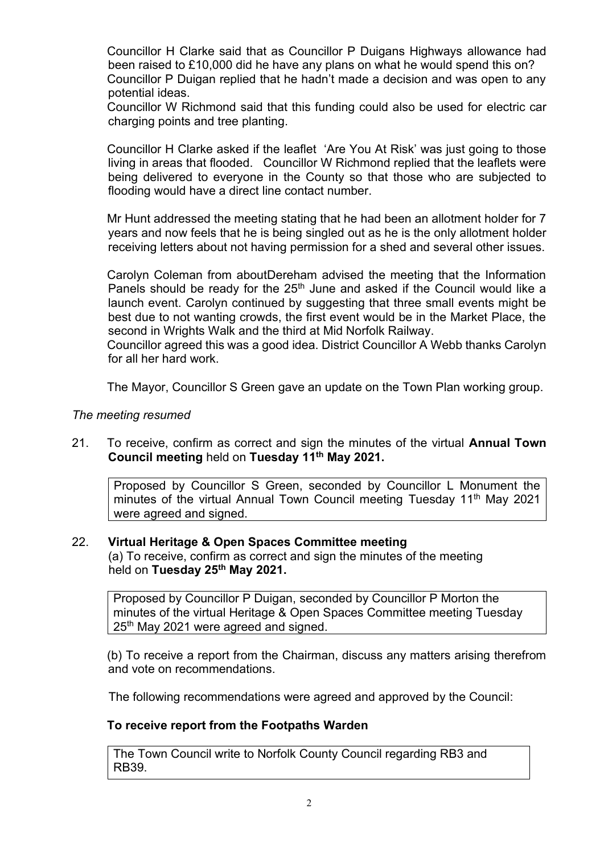Councillor H Clarke said that as Councillor P Duigans Highways allowance had been raised to £10,000 did he have any plans on what he would spend this on? Councillor P Duigan replied that he hadn't made a decision and was open to any potential ideas.

Councillor W Richmond said that this funding could also be used for electric car charging points and tree planting.

Councillor H Clarke asked if the leaflet 'Are You At Risk' was just going to those living in areas that flooded. Councillor W Richmond replied that the leaflets were being delivered to everyone in the County so that those who are subjected to flooding would have a direct line contact number.

Mr Hunt addressed the meeting stating that he had been an allotment holder for 7 years and now feels that he is being singled out as he is the only allotment holder receiving letters about not having permission for a shed and several other issues.

Carolyn Coleman from aboutDereham advised the meeting that the Information Panels should be ready for the  $25<sup>th</sup>$  June and asked if the Council would like a launch event. Carolyn continued by suggesting that three small events might be best due to not wanting crowds, the first event would be in the Market Place, the second in Wrights Walk and the third at Mid Norfolk Railway.

Councillor agreed this was a good idea. District Councillor A Webb thanks Carolyn for all her hard work.

The Mayor, Councillor S Green gave an update on the Town Plan working group.

#### *The meeting resumed*

21. To receive, confirm as correct and sign the minutes of the virtual **Annual Town Council meeting** held on **Tuesday 11th May 2021.**

Proposed by Councillor S Green, seconded by Councillor L Monument the minutes of the virtual Annual Town Council meeting Tuesday 11<sup>th</sup> May 2021 were agreed and signed.

#### 22. **Virtual Heritage & Open Spaces Committee meeting**

(a) To receive, confirm as correct and sign the minutes of the meeting held on **Tuesday 25th May 2021.**

Proposed by Councillor P Duigan, seconded by Councillor P Morton the minutes of the virtual Heritage & Open Spaces Committee meeting Tuesday 25th May 2021 were agreed and signed.

(b) To receive a report from the Chairman, discuss any matters arising therefrom and vote on recommendations.

The following recommendations were agreed and approved by the Council:

## **To receive report from the Footpaths Warden**

The Town Council write to Norfolk County Council regarding RB3 and RB39.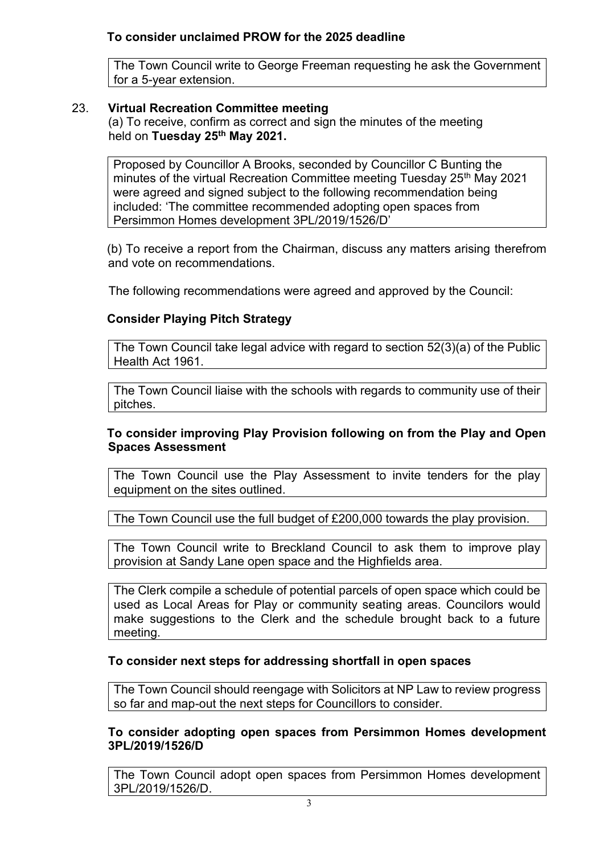The Town Council write to George Freeman requesting he ask the Government for a 5-year extension.

# 23. **Virtual Recreation Committee meeting**

(a) To receive, confirm as correct and sign the minutes of the meeting held on **Tuesday 25th May 2021.**

Proposed by Councillor A Brooks, seconded by Councillor C Bunting the minutes of the virtual Recreation Committee meeting Tuesday 25<sup>th</sup> May 2021 were agreed and signed subject to the following recommendation being included: 'The committee recommended adopting open spaces from Persimmon Homes development 3PL/2019/1526/D'

(b) To receive a report from the Chairman, discuss any matters arising therefrom and vote on recommendations.

The following recommendations were agreed and approved by the Council:

# **Consider Playing Pitch Strategy**

The Town Council take legal advice with regard to section 52(3)(a) of the Public Health Act 1961.

The Town Council liaise with the schools with regards to community use of their pitches.

## **To consider improving Play Provision following on from the Play and Open Spaces Assessment**

The Town Council use the Play Assessment to invite tenders for the play equipment on the sites outlined.

The Town Council use the full budget of £200,000 towards the play provision.

The Town Council write to Breckland Council to ask them to improve play provision at Sandy Lane open space and the Highfields area.

The Clerk compile a schedule of potential parcels of open space which could be used as Local Areas for Play or community seating areas. Councilors would make suggestions to the Clerk and the schedule brought back to a future meeting.

## **To consider next steps for addressing shortfall in open spaces**

The Town Council should reengage with Solicitors at NP Law to review progress so far and map-out the next steps for Councillors to consider.

## **To consider adopting open spaces from Persimmon Homes development 3PL/2019/1526/D**

The Town Council adopt open spaces from Persimmon Homes development 3PL/2019/1526/D.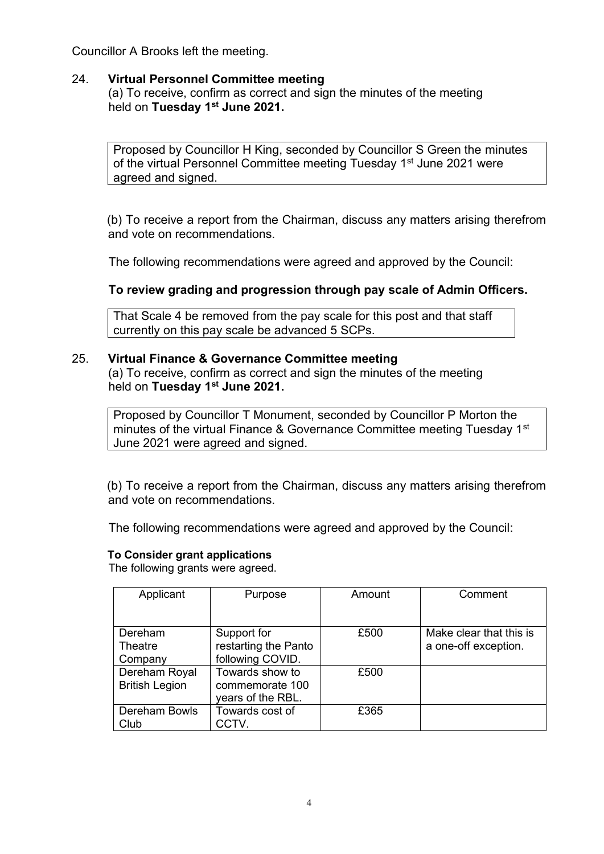Councillor A Brooks left the meeting.

## 24. **Virtual Personnel Committee meeting**

(a) To receive, confirm as correct and sign the minutes of the meeting held on **Tuesday 1st June 2021.**

Proposed by Councillor H King, seconded by Councillor S Green the minutes of the virtual Personnel Committee meeting Tuesday 1<sup>st</sup> June 2021 were agreed and signed.

(b) To receive a report from the Chairman, discuss any matters arising therefrom and vote on recommendations.

The following recommendations were agreed and approved by the Council:

## **To review grading and progression through pay scale of Admin Officers.**

That Scale 4 be removed from the pay scale for this post and that staff currently on this pay scale be advanced 5 SCPs.

#### 25. **Virtual Finance & Governance Committee meeting**

(a) To receive, confirm as correct and sign the minutes of the meeting held on **Tuesday 1st June 2021.**

Proposed by Councillor T Monument, seconded by Councillor P Morton the minutes of the virtual Finance & Governance Committee meeting Tuesday 1st June 2021 were agreed and signed.

(b) To receive a report from the Chairman, discuss any matters arising therefrom and vote on recommendations.

The following recommendations were agreed and approved by the Council:

#### **To Consider grant applications**

The following grants were agreed.

| Applicant             | Purpose              | Amount | Comment                 |
|-----------------------|----------------------|--------|-------------------------|
|                       |                      |        |                         |
| Dereham               | Support for          | £500   | Make clear that this is |
| Theatre               | restarting the Panto |        | a one-off exception.    |
| Company               | following COVID.     |        |                         |
| Dereham Royal         | Towards show to      | £500   |                         |
| <b>British Legion</b> | commemorate 100      |        |                         |
|                       | years of the RBL.    |        |                         |
| Dereham Bowls         | Towards cost of      | £365   |                         |
| Club                  | CCTV.                |        |                         |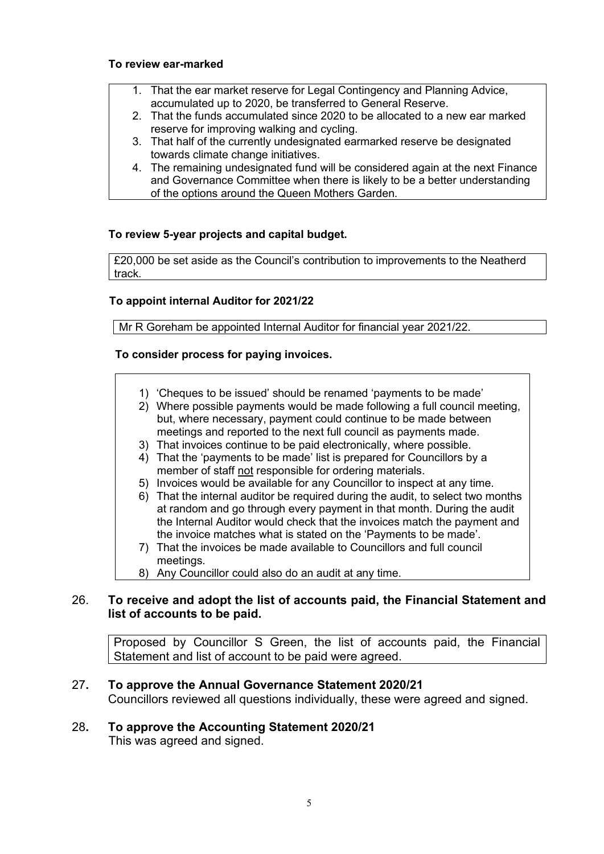#### **To review ear-marked**

- 1. That the ear market reserve for Legal Contingency and Planning Advice, accumulated up to 2020, be transferred to General Reserve.
- 2. That the funds accumulated since 2020 to be allocated to a new ear marked reserve for improving walking and cycling.
- 3. That half of the currently undesignated earmarked reserve be designated towards climate change initiatives.
- 4. The remaining undesignated fund will be considered again at the next Finance and Governance Committee when there is likely to be a better understanding of the options around the Queen Mothers Garden.

#### **To review 5-year projects and capital budget.**

£20,000 be set aside as the Council's contribution to improvements to the Neatherd track.

#### **To appoint internal Auditor for 2021/22**

Mr R Goreham be appointed Internal Auditor for financial year 2021/22.

#### **To consider process for paying invoices.**

- 1) 'Cheques to be issued' should be renamed 'payments to be made'
- 2) Where possible payments would be made following a full council meeting, but, where necessary, payment could continue to be made between meetings and reported to the next full council as payments made.
- 3) That invoices continue to be paid electronically, where possible.
- 4) That the 'payments to be made' list is prepared for Councillors by a member of staff not responsible for ordering materials.
- 5) Invoices would be available for any Councillor to inspect at any time.
- 6) That the internal auditor be required during the audit, to select two months at random and go through every payment in that month. During the audit the Internal Auditor would check that the invoices match the payment and the invoice matches what is stated on the 'Payments to be made'.
- 7) That the invoices be made available to Councillors and full council meetings.
- 8) Any Councillor could also do an audit at any time.

#### 26. **To receive and adopt the list of accounts paid, the Financial Statement and list of accounts to be paid.**

Proposed by Councillor S Green, the list of accounts paid, the Financial Statement and list of account to be paid were agreed.

## 27**. To approve the Annual Governance Statement 2020/21**

Councillors reviewed all questions individually, these were agreed and signed.

# 28**. To approve the Accounting Statement 2020/21**

This was agreed and signed.